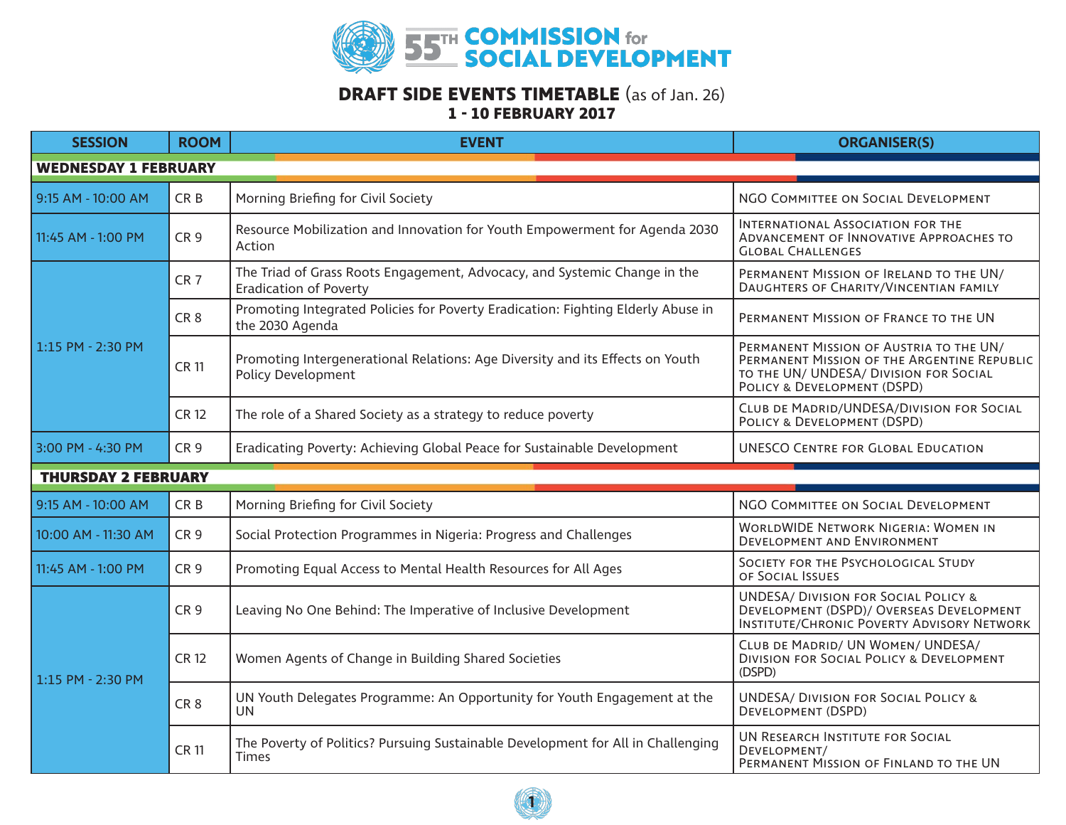

## **DRAFT SIDE EVENTS TIMETABLE** (as of Jan. 26) **1 - 10 FEBRUARY 2017**

| <b>SESSION</b>              | <b>ROOM</b>     | <b>EVENT</b>                                                                                               | <b>ORGANISER(S)</b>                                                                                                                                             |  |  |
|-----------------------------|-----------------|------------------------------------------------------------------------------------------------------------|-----------------------------------------------------------------------------------------------------------------------------------------------------------------|--|--|
| <b>WEDNESDAY 1 FEBRUARY</b> |                 |                                                                                                            |                                                                                                                                                                 |  |  |
| 9:15 AM - 10:00 AM          | CR <sub>B</sub> | Morning Briefing for Civil Society                                                                         | NGO COMMITTEE ON SOCIAL DEVELOPMENT                                                                                                                             |  |  |
| 11:45 AM - 1:00 PM          | CR <sub>9</sub> | Resource Mobilization and Innovation for Youth Empowerment for Agenda 2030<br>Action                       | INTERNATIONAL ASSOCIATION FOR THE<br>ADVANCEMENT OF INNOVATIVE APPROACHES TO<br><b>GLOBAL CHALLENGES</b>                                                        |  |  |
| $1:15$ PM - 2:30 PM         | CR <sub>7</sub> | The Triad of Grass Roots Engagement, Advocacy, and Systemic Change in the<br><b>Eradication of Poverty</b> | PERMANENT MISSION OF IRELAND TO THE UN/<br>DAUGHTERS OF CHARITY/VINCENTIAN FAMILY                                                                               |  |  |
|                             | CR <sub>8</sub> | Promoting Integrated Policies for Poverty Eradication: Fighting Elderly Abuse in<br>the 2030 Agenda        | PERMANENT MISSION OF FRANCE TO THE UN                                                                                                                           |  |  |
|                             | <b>CR11</b>     | Promoting Intergenerational Relations: Age Diversity and its Effects on Youth<br><b>Policy Development</b> | PERMANENT MISSION OF AUSTRIA TO THE UN/<br>PERMANENT MISSION OF THE ARGENTINE REPUBLIC<br>TO THE UN/ UNDESA/ DIVISION FOR SOCIAL<br>POLICY & DEVELOPMENT (DSPD) |  |  |
|                             | <b>CR12</b>     | The role of a Shared Society as a strategy to reduce poverty                                               | CLUB DE MADRID/UNDESA/DIVISION FOR SOCIAL<br>POLICY & DEVELOPMENT (DSPD)                                                                                        |  |  |
| 3:00 PM - 4:30 PM           | CR <sub>9</sub> | Eradicating Poverty: Achieving Global Peace for Sustainable Development                                    | <b>UNESCO CENTRE FOR GLOBAL EDUCATION</b>                                                                                                                       |  |  |
| <b>THURSDAY 2 FEBRUARY</b>  |                 |                                                                                                            |                                                                                                                                                                 |  |  |
| 9:15 AM - 10:00 AM          | CR <sub>B</sub> | Morning Briefing for Civil Society                                                                         | NGO COMMITTEE ON SOCIAL DEVELOPMENT                                                                                                                             |  |  |
| 10:00 AM - 11:30 AM         | CR <sub>9</sub> | Social Protection Programmes in Nigeria: Progress and Challenges                                           | <b>WORLDWIDE NETWORK NIGERIA: WOMEN IN</b><br>DEVELOPMENT AND ENVIRONMENT                                                                                       |  |  |
| 11:45 AM - 1:00 PM          | CR <sub>9</sub> | Promoting Equal Access to Mental Health Resources for All Ages                                             | SOCIETY FOR THE PSYCHOLOGICAL STUDY<br>OF SOCIAL ISSUES                                                                                                         |  |  |
| 1:15 PM - 2:30 PM           | CR <sub>9</sub> | Leaving No One Behind: The Imperative of Inclusive Development                                             | <b>UNDESA/ DIVISION FOR SOCIAL POLICY &amp;</b><br>DEVELOPMENT (DSPD)/ OVERSEAS DEVELOPMENT<br><b>INSTITUTE/CHRONIC POVERTY ADVISORY NETWORK</b>                |  |  |
|                             | <b>CR12</b>     | Women Agents of Change in Building Shared Societies                                                        | CLUB DE MADRID/ UN WOMEN/ UNDESA/<br>DIVISION FOR SOCIAL POLICY & DEVELOPMENT<br>(DSPD)                                                                         |  |  |
|                             | CR <sub>8</sub> | UN Youth Delegates Programme: An Opportunity for Youth Engagement at the<br><b>UN</b>                      | <b>UNDESA/ DIVISION FOR SOCIAL POLICY &amp;</b><br>DEVELOPMENT (DSPD)                                                                                           |  |  |
|                             | <b>CR 11</b>    | The Poverty of Politics? Pursuing Sustainable Development for All in Challenging<br><b>Times</b>           | UN RESEARCH INSTITUTE FOR SOCIAL<br>DEVELOPMENT/<br>PERMANENT MISSION OF FINLAND TO THE UN                                                                      |  |  |

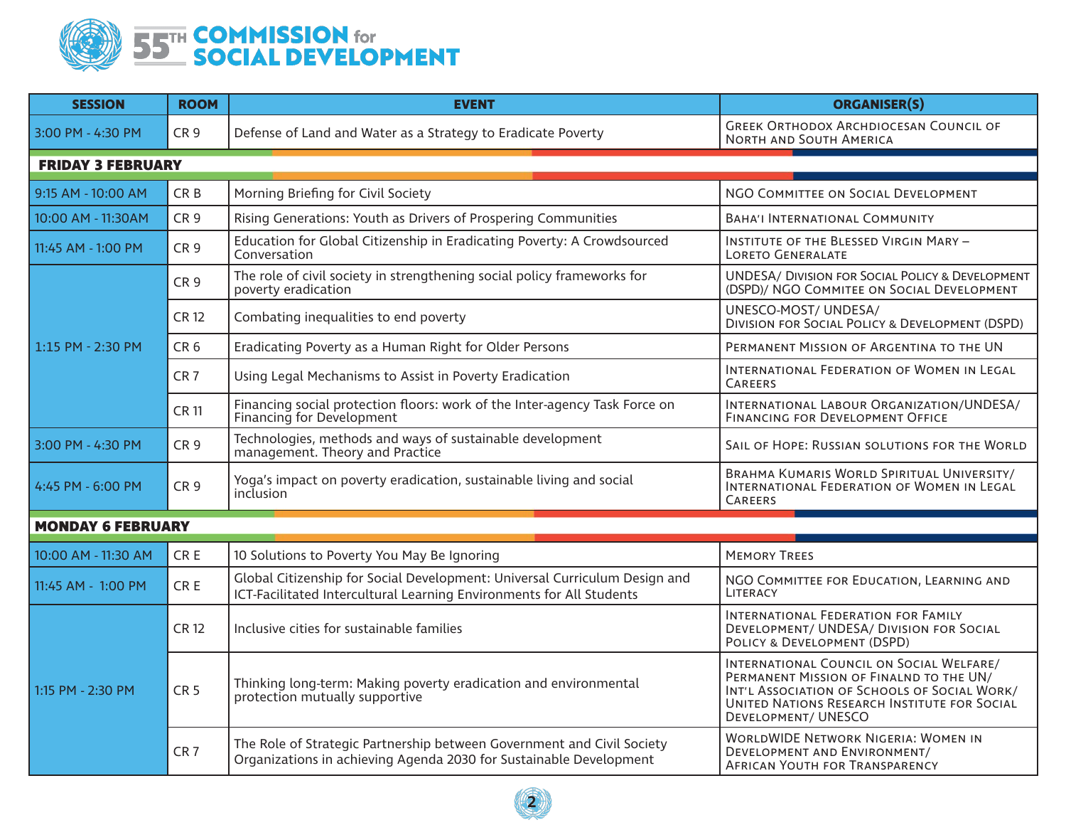

| <b>SESSION</b>           | <b>ROOM</b>     | <b>EVENT</b>                                                                                                                                       | <b>ORGANISER(S)</b>                                                                                                                                                                                               |  |  |
|--------------------------|-----------------|----------------------------------------------------------------------------------------------------------------------------------------------------|-------------------------------------------------------------------------------------------------------------------------------------------------------------------------------------------------------------------|--|--|
| 3:00 PM - 4:30 PM        | CR <sub>9</sub> | Defense of Land and Water as a Strategy to Eradicate Poverty                                                                                       | <b>GREEK ORTHODOX ARCHDIOCESAN COUNCIL OF</b><br>NORTH AND SOUTH AMERICA                                                                                                                                          |  |  |
| <b>FRIDAY 3 FEBRUARY</b> |                 |                                                                                                                                                    |                                                                                                                                                                                                                   |  |  |
| 9:15 AM - 10:00 AM       | CR <sub>B</sub> | Morning Briefing for Civil Society                                                                                                                 | NGO COMMITTEE ON SOCIAL DEVELOPMENT                                                                                                                                                                               |  |  |
| 10:00 AM - 11:30AM       | CR <sub>9</sub> | Rising Generations: Youth as Drivers of Prospering Communities                                                                                     | <b>BAHA'I INTERNATIONAL COMMUNITY</b>                                                                                                                                                                             |  |  |
| 11:45 AM - 1:00 PM       | CR <sub>9</sub> | Education for Global Citizenship in Eradicating Poverty: A Crowdsourced<br>Conversation                                                            | INSTITUTE OF THE BLESSED VIRGIN MARY -<br><b>LORETO GENERALATE</b>                                                                                                                                                |  |  |
| $1:15$ PM - 2:30 PM      | CR <sub>9</sub> | The role of civil society in strengthening social policy frameworks for<br>poverty eradication                                                     | <b>UNDESA/ DIVISION FOR SOCIAL POLICY &amp; DEVELOPMENT</b><br>(DSPD)/ NGO COMMITEE ON SOCIAL DEVELOPMENT                                                                                                         |  |  |
|                          | <b>CR12</b>     | Combating inequalities to end poverty                                                                                                              | UNESCO-MOST/ UNDESA/<br><b>DIVISION FOR SOCIAL POLICY &amp; DEVELOPMENT (DSPD)</b>                                                                                                                                |  |  |
|                          | CR <sub>6</sub> | Eradicating Poverty as a Human Right for Older Persons                                                                                             | PERMANENT MISSION OF ARGENTINA TO THE UN                                                                                                                                                                          |  |  |
|                          | CR <sub>7</sub> | Using Legal Mechanisms to Assist in Poverty Eradication                                                                                            | INTERNATIONAL FEDERATION OF WOMEN IN LEGAL<br>CAREERS                                                                                                                                                             |  |  |
|                          | <b>CR 11</b>    | Financing social protection floors: work of the Inter-agency Task Force on<br>Financing for Development                                            | INTERNATIONAL LABOUR ORGANIZATION/UNDESA/<br>FINANCING FOR DEVELOPMENT OFFICE                                                                                                                                     |  |  |
| 3:00 PM - 4:30 PM        | CR <sub>9</sub> | Technologies, methods and ways of sustainable development<br>management. Theory and Practice                                                       | SAIL OF HOPE: RUSSIAN SOLUTIONS FOR THE WORLD                                                                                                                                                                     |  |  |
| 4:45 PM - 6:00 PM        | CR <sub>9</sub> | Yoga's impact on poverty eradication, sustainable living and social<br>inclusion                                                                   | BRAHMA KUMARIS WORLD SPIRITUAL UNIVERSITY/<br>INTERNATIONAL FEDERATION OF WOMEN IN LEGAL<br>CAREERS                                                                                                               |  |  |
| <b>MONDAY 6 FEBRUARY</b> |                 |                                                                                                                                                    |                                                                                                                                                                                                                   |  |  |
| 10:00 AM - 11:30 AM      | CR <sub>E</sub> | 10 Solutions to Poverty You May Be Ignoring                                                                                                        | <b>MEMORY TREES</b>                                                                                                                                                                                               |  |  |
| 11:45 AM - 1:00 PM       | CR <sub>E</sub> | Global Citizenship for Social Development: Universal Curriculum Design and<br>ICT-Facilitated Intercultural Learning Environments for All Students | NGO COMMITTEE FOR EDUCATION, LEARNING AND<br>LITERACY                                                                                                                                                             |  |  |
| 1:15 PM - 2:30 PM        | <b>CR12</b>     | Inclusive cities for sustainable families                                                                                                          | INTERNATIONAL FEDERATION FOR FAMILY<br>DEVELOPMENT/ UNDESA/ DIVISION FOR SOCIAL<br>POLICY & DEVELOPMENT (DSPD)                                                                                                    |  |  |
|                          | CR <sub>5</sub> | Thinking long-term: Making poverty eradication and environmental<br>protection mutually supportive                                                 | INTERNATIONAL COUNCIL ON SOCIAL WELFARE/<br>PERMANENT MISSION OF FINALND TO THE UN/<br>INT'L ASSOCIATION OF SCHOOLS OF SOCIAL WORK/<br>UNITED NATIONS RESEARCH INSTITUTE FOR SOCIAL<br><b>DEVELOPMENT/ UNESCO</b> |  |  |
|                          | CR <sub>7</sub> | The Role of Strategic Partnership between Government and Civil Society<br>Organizations in achieving Agenda 2030 for Sustainable Development       | <b>WORLDWIDE NETWORK NIGERIA: WOMEN IN</b><br>DEVELOPMENT AND ENVIRONMENT/<br><b>AFRICAN YOUTH FOR TRANSPARENCY</b>                                                                                               |  |  |

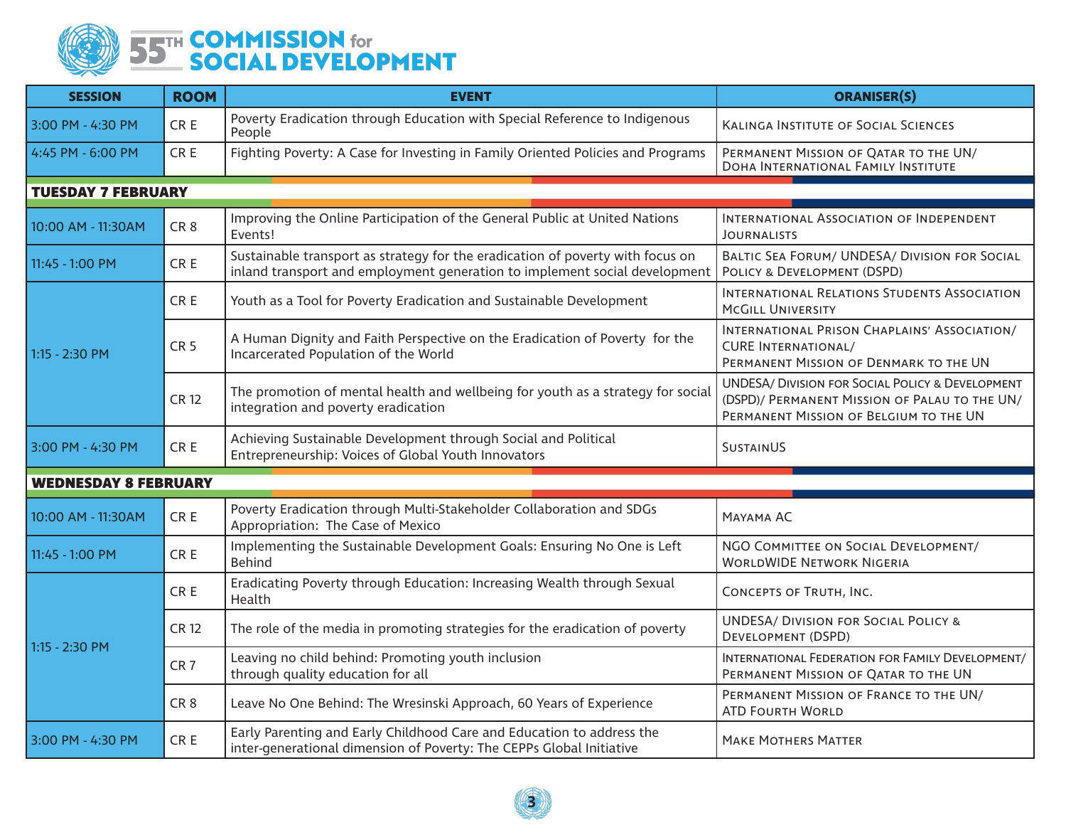

| <b>SESSION</b>              | <b>ROOM</b>     | <b>EVENT</b>                                                                                                                                                 | <b>ORANISER(S)</b>                                                                                                                                     |  |  |
|-----------------------------|-----------------|--------------------------------------------------------------------------------------------------------------------------------------------------------------|--------------------------------------------------------------------------------------------------------------------------------------------------------|--|--|
| 3:00 PM - 4:30 PM           | CR E            | Poverty Eradication through Education with Special Reference to Indigenous<br>People                                                                         | <b>KALINGA INSTITUTE OF SOCIAL SCIENCES</b>                                                                                                            |  |  |
| 4:45 PM - 6:00 PM           | CR E            | Fighting Poverty: A Case for Investing in Family Oriented Policies and Programs                                                                              | PERMANENT MISSION OF QATAR TO THE UN/<br>DOHA INTERNATIONAL FAMILY INSTITUTE                                                                           |  |  |
| <b>TUESDAY 7 FEBRUARY</b>   |                 |                                                                                                                                                              |                                                                                                                                                        |  |  |
| 10:00 AM - 11:30AM          | CR <sub>8</sub> | Improving the Online Participation of the General Public at United Nations<br>Events!                                                                        | INTERNATIONAL ASSOCIATION OF INDEPENDENT<br><b>JOURNALISTS</b>                                                                                         |  |  |
| 11:45 - 1:00 PM             | CR E            | Sustainable transport as strategy for the eradication of poverty with focus on<br>inland transport and employment generation to implement social development | BALTIC SEA FORUM/ UNDESA/ DIVISION FOR SOCIAL<br>POLICY & DEVELOPMENT (DSPD)                                                                           |  |  |
| 1:15 - 2:30 PM              | CR E            | Youth as a Tool for Poverty Eradication and Sustainable Development                                                                                          | INTERNATIONAL RELATIONS STUDENTS ASSOCIATION<br><b>MCGILL UNIVERSITY</b>                                                                               |  |  |
|                             | CR <sub>5</sub> | A Human Dignity and Faith Perspective on the Eradication of Poverty for the<br>Incarcerated Population of the World                                          | INTERNATIONAL PRISON CHAPLAINS' ASSOCIATION/<br><b>CURE INTERNATIONAL/</b><br>PERMANENT MISSION OF DENMARK TO THE UN                                   |  |  |
|                             | <b>CR 12</b>    | The promotion of mental health and wellbeing for youth as a strategy for social<br>integration and poverty eradication                                       | <b>UNDESA/ DIVISION FOR SOCIAL POLICY &amp; DEVELOPMENT</b><br>(DSPD)/ PERMANENT MISSION OF PALAU TO THE UN/<br>PERMANENT MISSION OF BELGIUM TO THE UN |  |  |
| 3:00 PM - 4:30 PM           | CR E            | Achieving Sustainable Development through Social and Political<br>Entrepreneurship: Voices of Global Youth Innovators                                        | SUSTAINUS                                                                                                                                              |  |  |
| <b>WEDNESDAY 8 FEBRUARY</b> |                 |                                                                                                                                                              |                                                                                                                                                        |  |  |
| 10:00 AM - 11:30AM          | CR E            | Poverty Eradication through Multi-Stakeholder Collaboration and SDGs<br>Appropriation: The Case of Mexico                                                    | MAYAMA AC                                                                                                                                              |  |  |
| 11:45 - 1:00 PM             | CR E            | Implementing the Sustainable Development Goals: Ensuring No One is Left<br><b>Behind</b>                                                                     | NGO COMMITTEE ON SOCIAL DEVELOPMENT/<br><b>WORLDWIDE NETWORK NIGERIA</b>                                                                               |  |  |
| 1:15 - 2:30 PM              | CR E            | Eradicating Poverty through Education: Increasing Wealth through Sexual<br>Health                                                                            | CONCEPTS OF TRUTH, INC.                                                                                                                                |  |  |
|                             | <b>CR12</b>     | The role of the media in promoting strategies for the eradication of poverty                                                                                 | <b>UNDESA/ DIVISION FOR SOCIAL POLICY &amp;</b><br>DEVELOPMENT (DSPD)                                                                                  |  |  |
|                             | CR <sub>7</sub> | Leaving no child behind: Promoting youth inclusion<br>through quality education for all                                                                      | INTERNATIONAL FEDERATION FOR FAMILY DEVELOPMENT/<br>PERMANENT MISSION OF QATAR TO THE UN                                                               |  |  |
|                             | CR <sub>8</sub> | Leave No One Behind: The Wresinski Approach, 60 Years of Experience                                                                                          | PERMANENT MISSION OF FRANCE TO THE UN/<br><b>ATD FOURTH WORLD</b>                                                                                      |  |  |
| 3:00 PM - 4:30 PM           | CR E            | Early Parenting and Early Childhood Care and Education to address the<br>inter-generational dimension of Poverty: The CEPPs Global Initiative                | <b>MAKE MOTHERS MATTER</b>                                                                                                                             |  |  |